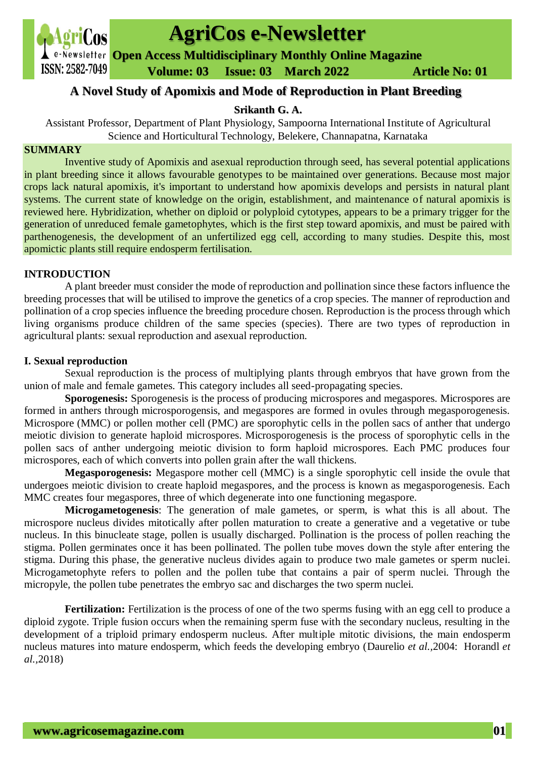

# **AgriCos e-Newsletter**

**Open Access Multidisciplinary Monthly Online Magazine**

 **ISSN: 2582-7049 Volume: 03 Issue: 03 March** 2022 **Article No: 01** 

# **A Novel Study of Apomixis and Mode of Reproduction in Plant Breeding**

# **Srikanth G. A.**

Assistant Professor, Department of Plant Physiology, Sampoorna International Institute of Agricultural Science and Horticultural Technology, Belekere, Channapatna, Karnataka

# **SUMMARY**

Inventive study of Apomixis and asexual reproduction through seed, has several potential applications in plant breeding since it allows favourable genotypes to be maintained over generations. Because most major crops lack natural apomixis, it's important to understand how apomixis develops and persists in natural plant systems. The current state of knowledge on the origin, establishment, and maintenance of natural apomixis is reviewed here. Hybridization, whether on diploid or polyploid cytotypes, appears to be a primary trigger for the generation of unreduced female gametophytes, which is the first step toward apomixis, and must be paired with parthenogenesis, the development of an unfertilized egg cell, according to many studies. Despite this, most apomictic plants still require endosperm fertilisation.

# **INTRODUCTION**

 A plant breeder must consider the mode of reproduction and pollination since these factors influence the breeding processes that will be utilised to improve the genetics of a crop species. The manner of reproduction and pollination of a crop species influence the breeding procedure chosen. Reproduction is the process through which living organisms produce children of the same species (species). There are two types of reproduction in agricultural plants: sexual reproduction and asexual reproduction.

# **I. Sexual reproduction**

 Sexual reproduction is the process of multiplying plants through embryos that have grown from the union of male and female gametes. This category includes all seed-propagating species.

 **Sporogenesis:** Sporogenesis is the process of producing microspores and megaspores. Microspores are formed in anthers through microsporogensis, and megaspores are formed in ovules through megasporogenesis. Microspore (MMC) or pollen mother cell (PMC) are sporophytic cells in the pollen sacs of anther that undergo meiotic division to generate haploid microspores. Microsporogenesis is the process of sporophytic cells in the pollen sacs of anther undergoing meiotic division to form haploid microspores. Each PMC produces four microspores, each of which converts into pollen grain after the wall thickens.

 **Megasporogenesis:** Megaspore mother cell (MMC) is a single sporophytic cell inside the ovule that undergoes meiotic division to create haploid megaspores, and the process is known as megasporogenesis. Each MMC creates four megaspores, three of which degenerate into one functioning megaspore.

 **Microgametogenesis**: The generation of male gametes, or sperm, is what this is all about. The microspore nucleus divides mitotically after pollen maturation to create a generative and a vegetative or tube nucleus. In this binucleate stage, pollen is usually discharged. Pollination is the process of pollen reaching the stigma. Pollen germinates once it has been pollinated. The pollen tube moves down the style after entering the stigma. During this phase, the generative nucleus divides again to produce two male gametes or sperm nuclei. Microgametophyte refers to pollen and the pollen tube that contains a pair of sperm nuclei. Through the micropyle, the pollen tube penetrates the embryo sac and discharges the two sperm nuclei.

**Fertilization:** Fertilization is the process of one of the two sperms fusing with an egg cell to produce a diploid zygote. Triple fusion occurs when the remaining sperm fuse with the secondary nucleus, resulting in the development of a triploid primary endosperm nucleus. After multiple mitotic divisions, the main endosperm nucleus matures into mature endosperm, which feeds the developing embryo (Daurelio *et al.,*2004: Horandl *et al.,*2018)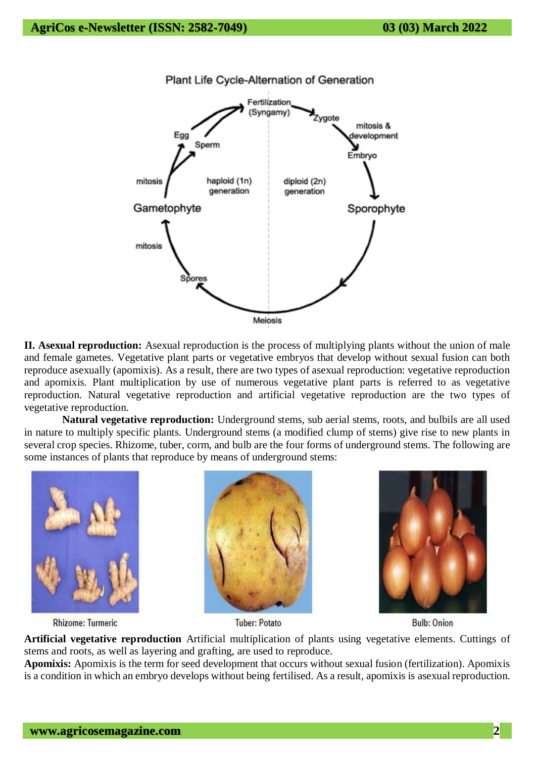

**II. Asexual reproduction:** Asexual reproduction is the process of multiplying plants without the union of male and female gametes. Vegetative plant parts or vegetative embryos that develop without sexual fusion can both reproduce asexually (apomixis). As a result, there are two types of asexual reproduction: vegetative reproduction and apomixis. Plant multiplication by use of numerous vegetative plant parts is referred to as vegetative reproduction. Natural vegetative reproduction and artificial vegetative reproduction are the two types of vegetative reproduction.

 **Natural vegetative reproduction:** Underground stems, sub aerial stems, roots, and bulbils are all used in nature to multiply specific plants. Underground stems (a modified clump of stems) give rise to new plants in several crop species. Rhizome, tuber, corm, and bulb are the four forms of underground stems. The following are some instances of plants that reproduce by means of underground stems:







**Bulb: Onion** 

**Artificial vegetative reproduction** Artificial multiplication of plants using vegetative elements. Cuttings of stems and roots, as well as layering and grafting, are used to reproduce.

**Apomixis:** Apomixis is the term for seed development that occurs without sexual fusion (fertilization). Apomixis is a condition in which an embryo develops without being fertilised. As a result, apomixis is asexual reproduction.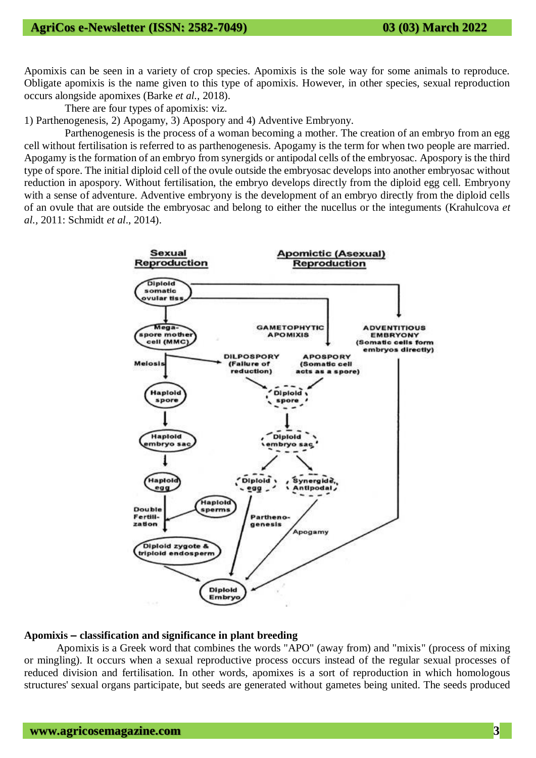Apomixis can be seen in a variety of crop species. Apomixis is the sole way for some animals to reproduce. Obligate apomixis is the name given to this type of apomixis. However, in other species, sexual reproduction occurs alongside apomixes (Barke *et al.,* 2018).

There are four types of apomixis: viz.

1) Parthenogenesis, 2) Apogamy, 3) Apospory and 4) Adventive Embryony.

 Parthenogenesis is the process of a woman becoming a mother. The creation of an embryo from an egg cell without fertilisation is referred to as parthenogenesis. Apogamy is the term for when two people are married. Apogamy is the formation of an embryo from synergids or antipodal cells of the embryosac. Apospory is the third type of spore. The initial diploid cell of the ovule outside the embryosac develops into another embryosac without reduction in apospory. Without fertilisation, the embryo develops directly from the diploid egg cell. Embryony with a sense of adventure. Adventive embryony is the development of an embryo directly from the diploid cells of an ovule that are outside the embryosac and belong to either the nucellus or the integuments (Krahulcova *et al.,* 2011: Schmidt *et al*., 2014).



#### **Apomixis – classification and significance in plant breeding**

Apomixis is a Greek word that combines the words "APO" (away from) and "mixis" (process of mixing or mingling). It occurs when a sexual reproductive process occurs instead of the regular sexual processes of reduced division and fertilisation. In other words, apomixes is a sort of reproduction in which homologous structures' sexual organs participate, but seeds are generated without gametes being united. The seeds produced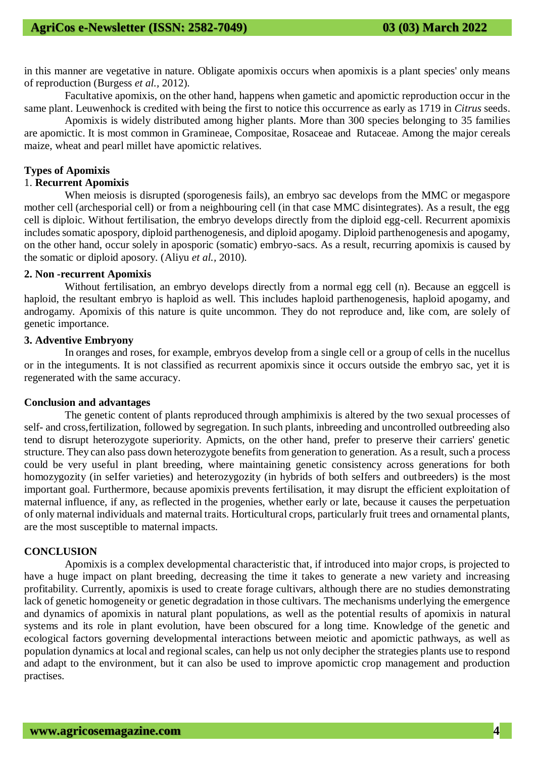in this manner are vegetative in nature. Obligate apomixis occurs when apomixis is a plant species' only means of reproduction (Burgess *et al.,* 2012).

 Facultative apomixis, on the other hand, happens when gametic and apomictic reproduction occur in the same plant. Leuwenhock is credited with being the first to notice this occurrence as early as 1719 in *Citrus* seeds.

 Apomixis is widely distributed among higher plants. More than 300 species belonging to 35 families are apomictic. It is most common in Gramineae, Compositae, Rosaceae and Rutaceae. Among the major cereals maize, wheat and pearl millet have apomictic relatives.

#### **Types of Apomixis**

# 1. **Recurrent Apomixis**

 When meiosis is disrupted (sporogenesis fails), an embryo sac develops from the MMC or megaspore mother cell (archesporial cell) or from a neighbouring cell (in that case MMC disintegrates). As a result, the egg cell is diploic. Without fertilisation, the embryo develops directly from the diploid egg-cell. Recurrent apomixis includes somatic apospory, diploid parthenogenesis, and diploid apogamy. Diploid parthenogenesis and apogamy, on the other hand, occur solely in aposporic (somatic) embryo-sacs. As a result, recurring apomixis is caused by the somatic or diploid aposory. (Aliyu *et al.,* 2010).

# **2. Non -recurrent Apomixis**

 Without fertilisation, an embryo develops directly from a normal egg cell (n). Because an eggcell is haploid, the resultant embryo is haploid as well. This includes haploid parthenogenesis, haploid apogamy, and androgamy. Apomixis of this nature is quite uncommon. They do not reproduce and, like com, are solely of genetic importance.

#### **3. Adventive Embryony**

 In oranges and roses, for example, embryos develop from a single cell or a group of cells in the nucellus or in the integuments. It is not classified as recurrent apomixis since it occurs outside the embryo sac, yet it is regenerated with the same accuracy.

#### **Conclusion and advantages**

 The genetic content of plants reproduced through amphimixis is altered by the two sexual processes of self- and cross,fertilization, followed by segregation. In such plants, inbreeding and uncontrolled outbreeding also tend to disrupt heterozygote superiority. Apmicts, on the other hand, prefer to preserve their carriers' genetic structure. They can also pass down heterozygote benefits from generation to generation. As a result, such a process could be very useful in plant breeding, where maintaining genetic consistency across generations for both homozygozity (in seIfer varieties) and heterozygozity (in hybrids of both seIfers and outbreeders) is the most important goal. Furthermore, because apomixis prevents fertilisation, it may disrupt the efficient exploitation of maternal influence, if any, as reflected in the progenies, whether early or late, because it causes the perpetuation of only maternal individuals and maternal traits. Horticultural crops, particularly fruit trees and ornamental plants, are the most susceptible to maternal impacts.

#### **CONCLUSION**

 Apomixis is a complex developmental characteristic that, if introduced into major crops, is projected to have a huge impact on plant breeding, decreasing the time it takes to generate a new variety and increasing profitability. Currently, apomixis is used to create forage cultivars, although there are no studies demonstrating lack of genetic homogeneity or genetic degradation in those cultivars. The mechanisms underlying the emergence and dynamics of apomixis in natural plant populations, as well as the potential results of apomixis in natural systems and its role in plant evolution, have been obscured for a long time. Knowledge of the genetic and ecological factors governing developmental interactions between meiotic and apomictic pathways, as well as population dynamics at local and regional scales, can help us not only decipher the strategies plants use to respond and adapt to the environment, but it can also be used to improve apomictic crop management and production practises.